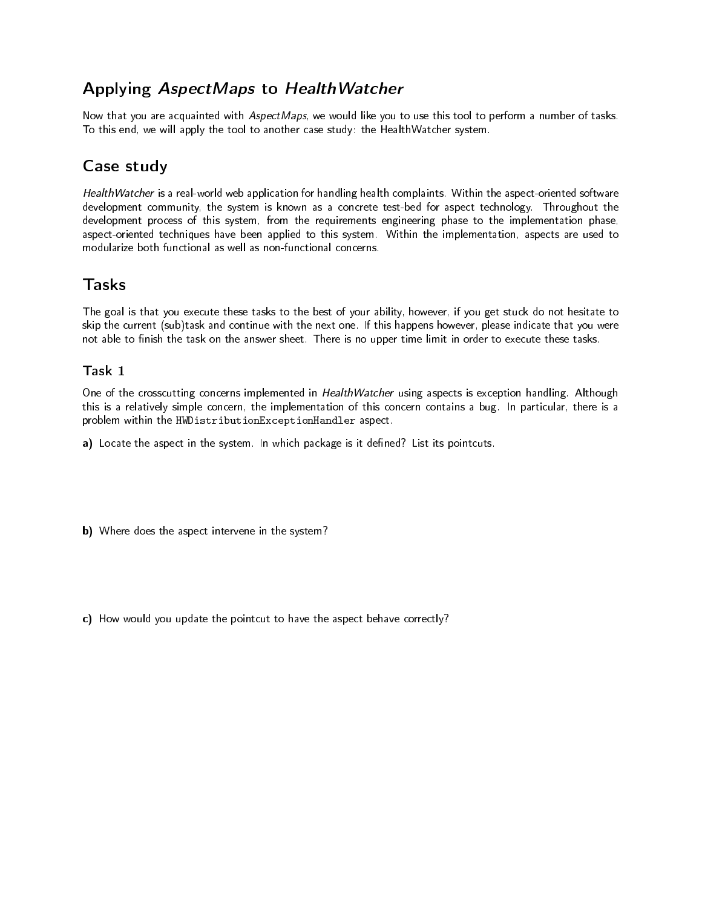# Applying AspectMaps to HealthWatcher

Now that you are acquainted with AspectMaps, we would like you to use this tool to perform a number of tasks. To this end, we will apply the tool to another case study: the HealthWatcher system.

# Case study

HealthWatcher is a real-world web application for handling health complaints. Within the aspect-oriented software development community, the system is known as a concrete test-bed for aspect technology. Throughout the development process of this system, from the requirements engineering phase to the implementation phase, aspect-oriented techniques have been applied to this system. Within the implementation, aspects are used to modularize both functional as well as non-functional concerns.

# Tasks

The goal is that you execute these tasks to the best of your ability, however, if you get stuck do not hesitate to skip the current (sub)task and continue with the next one. If this happens however, please indicate that you were not able to finish the task on the answer sheet. There is no upper time limit in order to execute these tasks.

## Task 1

One of the crosscutting concerns implemented in HealthWatcher using aspects is exception handling. Although this is a relatively simple concern, the implementation of this concern contains a bug. In particular, there is a problem within the HWDistributionExceptionHandler aspect.

a) Locate the aspect in the system. In which package is it defined? List its pointcuts.

b) Where does the aspect intervene in the system?

c) How would you update the pointcut to have the aspect behave correctly?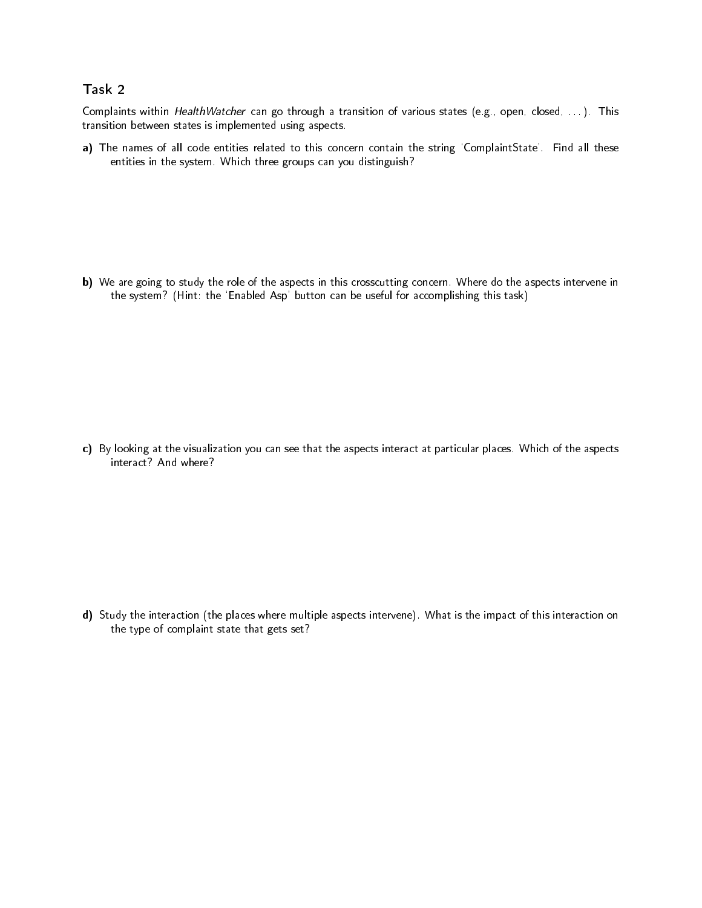### Task 2

Complaints within *HealthWatcher* can go through a transition of various states (e.g., open, closed, ...). This transition between states is implemented using aspects.

a) The names of all code entities related to this concern contain the string 'ComplaintState'. Find all these entities in the system. Which three groups can you distinguish?

b) We are going to study the role of the aspects in this crosscutting concern. Where do the aspects intervene in the system? (Hint: the `Enabled Asp' button can be useful for accomplishing this task)

c) By looking at the visualization you can see that the aspects interact at particular places. Which of the aspects interact? And where?

d) Study the interaction (the places where multiple aspects intervene). What is the impact of this interaction on the type of complaint state that gets set?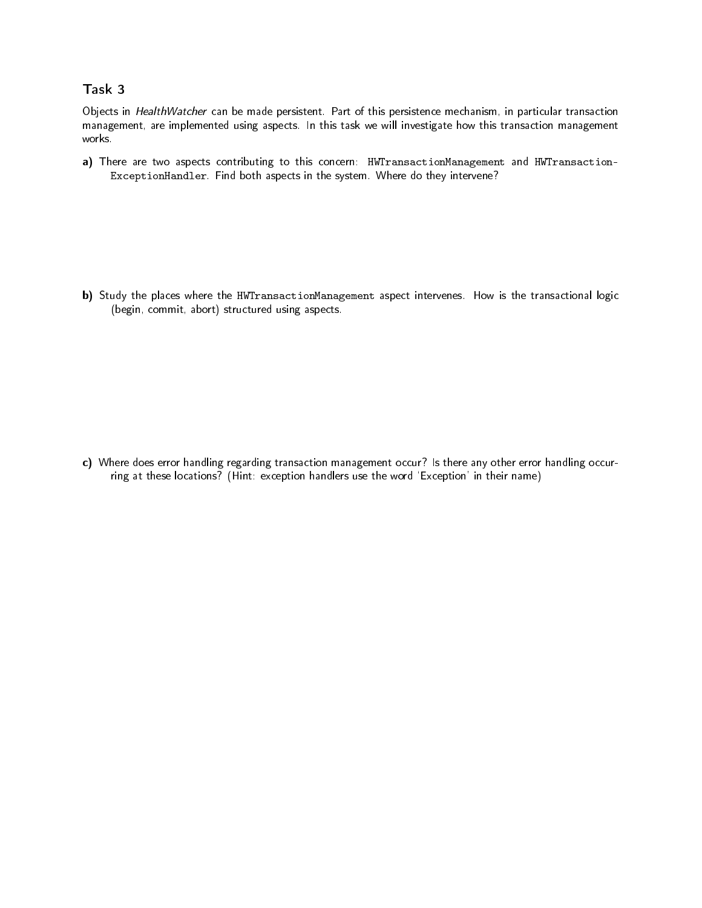### Task 3

Objects in HealthWatcher can be made persistent. Part of this persistence mechanism, in particular transaction management, are implemented using aspects. In this task we will investigate how this transaction management works.

a) There are two aspects contributing to this concern: HWTransactionManagement and HWTransaction-ExceptionHandler. Find both aspects in the system. Where do they intervene?

b) Study the places where the HWTransactionManagement aspect intervenes. How is the transactional logic (begin, commit, abort) structured using aspects.

c) Where does error handling regarding transaction management occur? Is there any other error handling occurring at these locations? (Hint: exception handlers use the word `Exception' in their name)